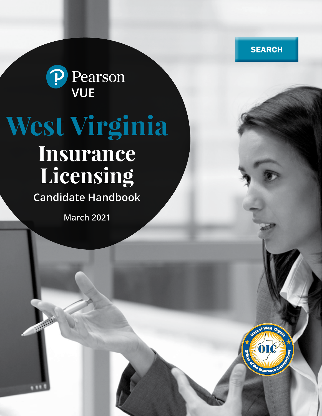**SEARCH** 



# **West Virginia**

## **Insurance Licensing**

**Candidate Handbook**

**March 2021**

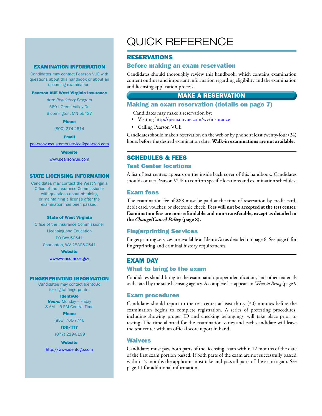#### EXAMINATION INFORMATION

Candidates may contact Pearson VUE with questions about this handbook or about an upcoming examination.

#### Pearson VUE West Virginia Insurance

*Attn: Regulatory Program* 5601 Green Valley Dr. Bloomington, MN 55437

Phone

(800) 274-2614

Email

pearsonvuecustomerservice@pearson.com

**Website** 

www.pearsonvue.com

#### STATE LICENSING INFORMATION

Candidates may contact the West Virginia Office of the Insurance Commissioner with questions about obtaining or maintaining a license after the examination has been passed.

#### State of West Virginia

Office of the Insurance Commissioner Licensing and Education PO Box 50541 Charleston, WV 25305-0541

**Website** 

www.wvinsurance.gov

#### FINGERPRINTING INFORMATION

Candidates may contact IdentoGo for digital fingerprints.

#### IdentoGo

*Hours:* Monday – Friday 8 AM – 5 PM Central Time

#### Phone

(855) 766-7746 TDD/TTY (877) 219-0199

**Website** 

http://www.identogo.com

### QUICK REFERENCE

#### RESERVATIONS

#### Before making an exam reservation

Candidates should thoroughly review this handbook, which contains examination content outlines and important information regarding eligibility and the examination and licensing application process.

#### MAKE A RESERVATION

#### Making an exam reservation (details on page 7)

- Candidates may make a reservation by:
- Visiting http://pearsonvue.com/wv/insurance
- Calling Pearson VUE

Candidates should make a reservation on the web or by phone at least twenty-four (24) hours before the desired examination date. **Walk-in examinations are not available.**

#### SCHEDULES & FEES

#### Test Center locations

A list of test centers appears on the inside back cover of this handbook. Candidates should contact Pearson VUE to confirm specific locations and examination schedules.

#### Exam fees

The examination fee of \$88 must be paid at the time of reservation by credit card, debit card, voucher, or electronic check. **Fees will not be accepted at the test center. Examination fees are non-refundable and non-transferable, except as detailed in the** *Change/Cancel Policy* **(page 8).**

#### Fingerprinting Services

Fingerprinting services are available at IdentoGo as detailed on page 6. See page 6 for fingerprinting and criminal history requirements.

#### EXAM DAY

#### What to bring to the exam

Candidates should bring to the examination proper identification, and other materials as dictated by the state licensing agency. A complete list appears in *What to Bring* (page 9

#### Exam procedures

Candidates should report to the test center at least thirty (30) minutes before the examination begins to complete registration. A series of pretesting procedures, including showing proper ID and checking belongings, will take place prior to testing. The time allotted for the examination varies and each candidate will leave the test center with an official score report in hand.

#### Waivers

Candidates must pass both parts of the licensing exam within 12 months of the date of the first exam portion passed. If both parts of the exam are not successfully passed within 12 months the applicant must take and pass all parts of the exam again. See page 11 for additional information.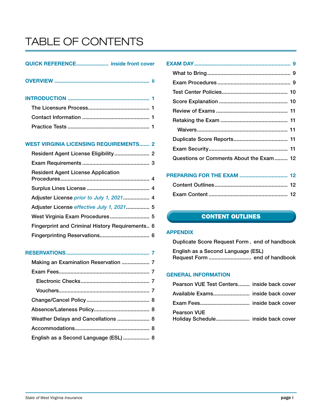### TABLE OF CONTENTS

#### QUICK REFERENCE...................... inside front cover

INTRODUCTION ........................................................ 1 The Licensure Process.......................................... 1

#### WEST VIRGINIA LICENSING REQUIREMENTS....... 2

| <b>Resident Agent License Application</b>       |  |
|-------------------------------------------------|--|
|                                                 |  |
| Adjuster License prior to July 1, 2021 4        |  |
| Adjuster License effective July 1, 2021 5       |  |
| West Virginia Exam Procedures 5                 |  |
| Fingerprint and Criminal History Requirements 6 |  |
|                                                 |  |

#### RESERVATIONS......................................................... 7

| Making an Examination Reservation  7  |  |
|---------------------------------------|--|
|                                       |  |
|                                       |  |
|                                       |  |
|                                       |  |
|                                       |  |
| Weather Delays and Cancellations  8   |  |
|                                       |  |
| English as a Second Language (ESL)  8 |  |
|                                       |  |

| Questions or Comments About the Exam 12 |  |
|-----------------------------------------|--|
|                                         |  |

#### PREPARING FOR THE EXAM ................................. 12 Content Outlines.................................................. 12

#### CONTENT OUTLINES

#### APPENDIX

Duplicate Score Request Form . end of handbook English as a Second Language (ESL) Request Form ............................. end of handbook

#### GENERAL INFORMATION

| Pearson VUE Test Centers inside back cover |  |
|--------------------------------------------|--|
|                                            |  |
|                                            |  |
| <b>Pearson VUE</b>                         |  |
|                                            |  |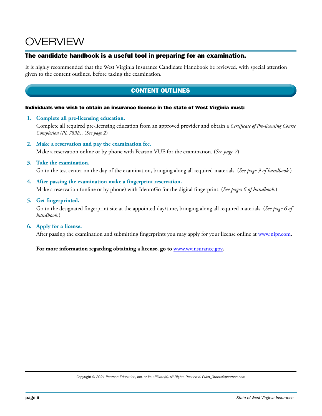### OVERVIEW

#### The candidate handbook is a useful tool in preparing for an examination.

It is highly recommended that the West Virginia Insurance Candidate Handbook be reviewed, with special attention given to the content outlines, before taking the examination.

#### CONTENT OUTLINES

#### Individuals who wish to obtain an insurance license in the state of West Virginia must:

**1. Complete all pre-licensing education.**

Complete all required pre-licensing education from an approved provider and obtain a *Certificate of Pre-licensing Course Completion (PL 789E)*. (*See page 2*)

**2. Make a reservation and pay the examination fee.**

Make a reservation online or by phone with Pearson VUE for the examination. (*See page 7*)

**3. Take the examination.**

Go to the test center on the day of the examination, bringing along all required materials. (*See page 9 of handbook.*)

- **4. After passing the examination make a fingerprint reservation.** Make a reservation (online or by phone) with IdentoGo for the digital fingerprint. (*See pages 6 of handbook.*)
- **5. Get fingerprinted.**

Go to the designated fingerprint site at the appointed day/time, bringing along all required materials. (*See page 6 of handbook.*)

**6. Apply for a license.**

After passing the examination and submitting fingerprints you may apply for your license online at www.nipr.com.

**For more information regarding obtaining a license, go to** www.wvinsurance.gov**.**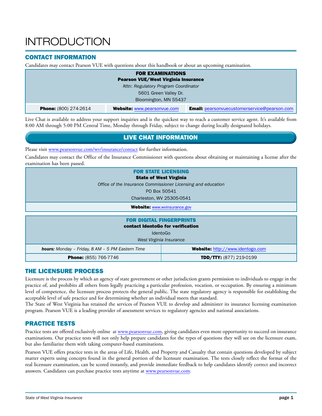### **INTRODUCTION**

#### CONTACT INFORMATION

Candidates may contact Pearson VUE with questions about this handbook or about an upcoming examination.

| <b>FOR EXAMINATIONS</b>              |                                     |                                                     |  |
|--------------------------------------|-------------------------------------|-----------------------------------------------------|--|
|                                      | Pearson VUE/West Virginia Insurance |                                                     |  |
| Attn: Regulatory Program Coordinator |                                     |                                                     |  |
| 5601 Green Valley Dr.                |                                     |                                                     |  |
| Bloomington, MN 55437                |                                     |                                                     |  |
| <b>Phone:</b> (800) 274-2614         | <b>Website: www.pearsonvue.com</b>  | <b>Email:</b> pearsonvuecustomerservice@pearson.com |  |

Live Chat is available to address your support inquiries and is the quickest way to reach a customer service agent. It's available from 8:00 AM through 5:00 PM Central Time, Monday through Friday, subject to change during locally designated holidays.

#### LIVE CHAT INFORMATION

Please visit www.pearsonvue.com/wv/insurance/contact for further information.

Candidates may contact the Office of the Insurance Commissioner with questions about obtaining or maintaining a license after the examination has been passed.

| <b>FOR STATE LICENSING</b><br><b>State of West Virginia</b>          |  |  |
|----------------------------------------------------------------------|--|--|
| Office of the Insurance Commissioner Licensing and education         |  |  |
| PO Box 50541                                                         |  |  |
| Charleston, WV 25305-0541                                            |  |  |
| <b>Website: www.wvinsurance.gov</b>                                  |  |  |
| <b>FOR DIGITAL FINGERPRINTS</b><br>contact IdentoGo for verification |  |  |

IdentoGo

*West Virginia Insurance*

| <b>hours:</b> Monday - Friday, 8 AM - 5 PM Eastern Time | Website: http://www.identogo.com |
|---------------------------------------------------------|----------------------------------|
| Phone: (855) 766-7746                                   | TDD/TTY: (877) 219-0199          |

#### THE LICENSURE PROCESS

Licensure is the process by which an agency of state government or other jurisdiction grants permission to individuals to engage in the practice of, and prohibits all others from legally practicing a particular profession, vocation, or occupation. By ensuring a minimum level of competence, the licensure process protects the general public. The state regulatory agency is responsible for establishing the acceptable level of safe practice and for determining whether an individual meets that standard.

The State of West Virginia has retained the services of Pearson VUE to develop and administer its insurance licensing examination program. Pearson VUE is a leading provider of assessment services to regulatory agencies and national associations.

#### PRACTICE TESTS

Practice tests are offered exclusively online at www.pearsonvue.com, giving candidates even more opportunity to succeed on insurance examinations. Our practice tests will not only help prepare candidates for the types of questions they will see on the licensure exam, but also familiarize them with taking computer-based examinations.

Pearson VUE offers practice tests in the areas of Life, Health, and Property and Casualty that contain questions developed by subject matter experts using concepts found in the general portion of the licensure examination. The tests closely reflect the format of the real licensure examination, can be scored instantly, and provide immediate feedback to help candidates identify correct and incorrect answers. Candidates can purchase practice tests anytime at www.pearsonvue.com.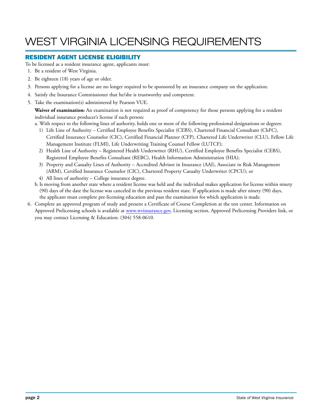### WEST VIRGINIA LICENSING REQUIREMENTS

#### RESIDENT AGENT LICENSE ELIGIBILITY

To be licensed as a resident insurance agent, applicants must:

- 1. Be a resident of West Virginia.
- 2. Be eighteen (18) years of age or older.
- 3. Persons applying for a license are no longer required to be sponsored by an insurance company on the application.
- 4. Satisfy the Insurance Commissioner that he/she is trustworthy and competent.
- 5. Take the examination(s) administered by Pearson VUE.

**Waiver of examination:** An examination is not required as proof of competency for those persons applying for a resident individual insurance producer's license if such person:

- a. With respect to the following lines of authority, holds one or more of the following professional designations or degrees:
	- 1) Life Line of Authority Certified Employee Benefits Specialist (CEBS), Chartered Financial Consultant (ChFC), Certified Insurance Counselor (CIC), Certified Financial Planner (CFP), Chartered Life Underwriter (CLU), Fellow Life Management Institute (FLMI), Life Underwriting Training Counsel Fellow (LUTCF);
	- 2) Health Line of Authority Registered Health Underwriter (RHU), Certified Employee Benefits Specialist (CEBS), Registered Employee Benefits Consultant (REBC), Health Information Administration (HIA);
	- 3) Property and Casualty Lines of Authority Accredited Advisor in Insurance (AAI), Associate in Risk Management (ARM), Certified Insurance Counselor (CIC), Chartered Property Casualty Underwriter (CPCU); or
	- 4) All lines of authority College insurance degree.
- b.Is moving from another state where a resident license was held and the individual makes application for license within ninety (90) days of the date the license was canceled in the previous resident state. If application is made after ninety (90) days, the applicant must complete pre-licensing education and pass the examination for which application is made.
- 6. Complete an approved program of study and present a Certificate of Course Completion at the test center. Information on Approved Prelicensing schools is available at www.wvinsurance.gov, Licensing section, Approved Prelicensing Providers link, or you may contact Licensing & Education: (304) 558-0610.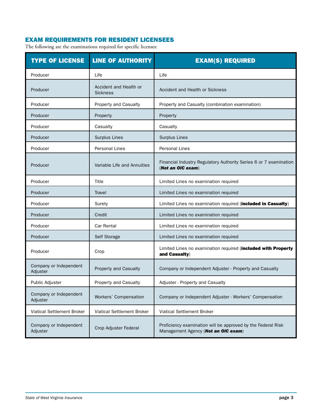#### EXAM REQUIREMENTS FOR RESIDENT LICENSEES

The following are the examinations required for specific licenses:

| <b>TYPE OF LICENSE</b>             | <b>LINE OF AUTHORITY</b>                  | <b>EXAM(S) REQUIRED</b>                                                                             |
|------------------------------------|-------------------------------------------|-----------------------------------------------------------------------------------------------------|
| Producer                           | Life                                      | Life                                                                                                |
| Producer                           | Accident and Health or<br><b>Sickness</b> | Accident and Health or Sickness                                                                     |
| Producer                           | Property and Casualty                     | Property and Casualty (combination examination)                                                     |
| Producer                           | Property                                  | Property                                                                                            |
| Producer                           | Casualty                                  | Casualty                                                                                            |
| Producer                           | Surplus Lines                             | <b>Surplus Lines</b>                                                                                |
| Producer                           | <b>Personal Lines</b>                     | <b>Personal Lines</b>                                                                               |
| Producer                           | Variable Life and Annuities               | Financial Industry Regulatory Authority Series 6 or 7 examination<br>(Not an OIC exam)              |
| Producer                           | Title                                     | Limited Lines no examination required                                                               |
| Producer                           | Travel                                    | Limited Lines no examination required                                                               |
| Producer                           | Surety                                    | Limited Lines no examination required (included in Casualty)                                        |
| Producer                           | Credit                                    | Limited Lines no examination required                                                               |
| Producer                           | <b>Car Rental</b>                         | Limited Lines no examination required                                                               |
| Producer                           | Self Storage                              | Limited Lines no examination required                                                               |
| Producer                           | Crop                                      | Limited Lines no examination required (included with Property<br>and Casualty)                      |
| Company or Independent<br>Adjuster | Property and Casualty                     | Company or Independent Adjuster - Property and Casualty                                             |
| Public Adjuster                    | <b>Property and Casualty</b>              | Adjuster - Property and Casualty                                                                    |
| Company or Independent<br>Adjuster | Workers' Compensation                     | Company or Independent Adjuster - Workers' Compensation                                             |
| <b>Viatical Settlement Broker</b>  | Viatical Settlement Broker                | Viatical Settlement Broker                                                                          |
| Company or Independent<br>Adjuster | Crop Adjuster Federal                     | Proficiency examination will be approved by the Federal Risk<br>Management Agency (Not an OIC exam) |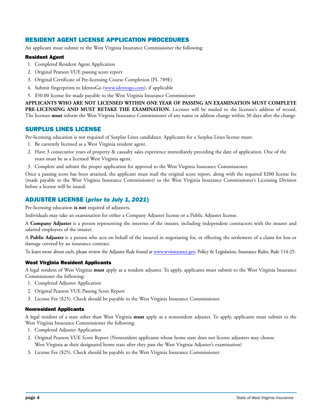#### RESIDENT AGENT LICENSE APPLICATION PROCEDURES

An applicant must submit to the West Virginia Insurance Commissioner the following:

#### Resident Agent

- 1. Completed Resident Agent Application
- 2. Original Pearson VUE passing score report
- 3. Original Certificate of Pre-licensing Course Completion (PL 789E)
- 4. Submit fingerprints to IdentoGo (www.identogo.com), if applicable
- 5. \$50.00 license fee made payable to the West Virginia Insurance Commissioner

**APPLICANTS WHO ARE NOT LICENSED WITHIN ONE YEAR OF PASSING AN EXAMINATION MUST COMPLETE**  PRE-LICENSING AND MUST RETAKE THE EXAMINATION. Licenses will be mailed to the licensee's address of record. The licensee **must** inform the West Virginia Insurance Commissioner of any name or address change within 30 days after the change.

#### SURPLUS LINES LICENSE

Pre-licensing education is not required of Surplus Lines candidates. Applicants for a Surplus Lines license must:

- 1. Be currently licensed as a West Virginia resident agent.
- 2. Have 3 consecutive years of property & casualty sales experience immediately preceding the date of application. One of the years must be as a licensed West Virginia agent.
- 3. Complete and submit the proper application for approval to the West Virginia Insurance Commissioner.

Once a passing score has been attained, the applicant must mail the original score report, along with the required \$200 license fee (made payable to the West Virginia Insurance Commissioner) to the West Virginia Insurance Commissioner's Licensing Division before a license will be issued.

#### ADJUSTER LICENSE (*prior to July 1, 2021*)

Pre-licensing education **is not** required of adjusters.

Individuals may take an examination for either a Company Adjuster license or a Public Adjuster license.

A **Company Adjuster** is a person representing the interests of the insurer, including independent contractors with the insurer and salaried employees of the insurer.

A **Public Adjuster** is a person who acts on behalf of the insured in negotiating for, or effecting the settlement of a claim for loss or damage covered by an insurance contract.

To learn more about each, please review the Adjuster Rule found at www.wvinsurance.gov, Policy & Legislation, Insurance Rules, Rule 114-25.

#### West Virginia Resident Applicants

A legal resident of West Virginia **must** apply as a resident adjuster. To apply, applicants must submit to the West Virginia Insurance Commissioner the following:

- 1. Completed Adjuster Application
- 2. Original Pearson VUE Passing Score Report
- 3. License Fee (\$25). Check should be payable to the West Virginia Insurance Commissioner.

#### Nonresident Applicants

A legal resident of a state other than West Virginia **must** apply as a nonresident adjuster. To apply, applicants must submit to the West Virginia Insurance Commissioner the following:

- 1. Completed Adjuster Application
- 2. Original Pearson VUE Score Report (Nonresident applicants whose home state does not license adjusters may choose West Virginia as their designated home state after they pass the West Virginia Adjuster's examination)
- 3. License Fee (\$25). Check should be payable to the West Virginia Insurance Commissioner.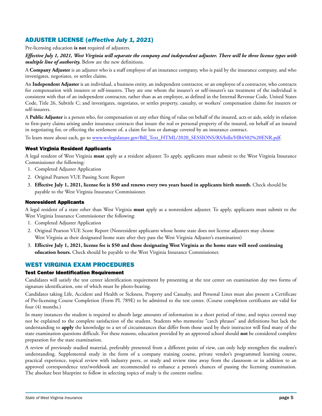#### ADJUSTER LICENSE (*effective July 1, 2021*)

Pre-licensing education **is not** required of adjusters.

#### *Effective July 1, 2021, West Virginia will separate the company and independent adjuster. There will be three license types with multiple line of authority.* Below are the new definitions.

A **Company Adjuster** is an adjuster who is a staff employee of an insurance company, who is paid by the insurance company, and who investigates, negotiates, or settles claims.

An **Independent Adjuster** is an individual, a business entity, an independent contractor, or an employee of a contractor, who contracts for compensation with insurers or self-insurers. They are one whom the insurer's or self-insurer's tax treatment of the individual is consistent with that of an independent contractor, rather than as an employee, as defined in the Internal Revenue Code, United States Code, Title 26, Subtitle C; and investigates, negotiates, or settles property, casualty, or workers' compensation claims for insurers or self-insurers.

A **Public Adjuster** is a person who, for compensation or any other thing of value on behalf of the insured, acts or aids, solely in relation to first-party claims arising under insurance contracts that insure the real or personal property of the insured, on behalf of an insured in negotiating for, or effecting the settlement of, a claim for loss or damage covered by an insurance contract.

To learn more about each, go to www.wvlegislature.gov/Bill\_Text\_HTML/2020\_SESSIONS/RS/bills/HB4502%20ENR.pdf.

#### West Virginia Resident Applicants

A legal resident of West Virginia **must** apply as a resident adjuster. To apply, applicants must submit to the West Virginia Insurance Commissioner the following:

- 1. Completed Adjuster Application
- 2. Original Pearson VUE Passing Score Report
- 3. **Effective July 1, 2021, license fee is \$50 and renews every two years based in applicants birth month.** Check should be payable to the West Virginia Insurance Commissioner.

#### Nonresident Applicants

A legal resident of a state other than West Virginia **must** apply as a nonresident adjuster. To apply, applicants must submit to the West Virginia Insurance Commissioner the following:

- 1. Completed Adjuster Application
- 2. Original Pearson VUE Score Report (Nonresident applicants whose home state does not license adjusters may choose West Virginia as their designated home state after they pass the West Virginia Adjuster's examination)
- 3. **Effective July 1, 2021, license fee is \$50 and those designating West Virginia as the home state will need continuing education hours.** Check should be payable to the West Virginia Insurance Commissioner.

#### WEST VIRGINIA EXAM PROCEDURES

#### **Test Center Identification Requirement**

Candidates will satisfy the test center identification requirement by presenting at the test center on examination day two forms of signature identification, one of which must be photo-bearing.

Candidates taking Life, Accident and Health or Sickness, Property and Casualty, and Personal Lines must also present a Certificate of Pre-licensing Course Completion (Form PL 789E) to be admitted to the test center. (Course completion certificates are valid for four (4) months.)

In many instances the student is required to absorb large amounts of information in a short period of time, and topics covered may not be explained to the complete satisfaction of the student. Students who memorize "catch phrases" and definitions but lack the understanding to **apply** the knowledge to a set of circumstances that differ from those used by their instructor will find many of the state examination questions difficult. For these reasons, education provided by an approved school should **not** be considered complete preparation for the state examination.

A review of previously studied material, preferably presented from a different point of view, can only help strengthen the student's understanding. Supplemental study in the form of a company training course, private vendor's programmed learning course, practical experience, topical review with industry peers, or study and review time away from the classroom or in addition to an approved correspondence text/workbook are recommended to enhance a person's chances of passing the licensing examination. The absolute best blueprint to follow in selecting topics of study is the content outline.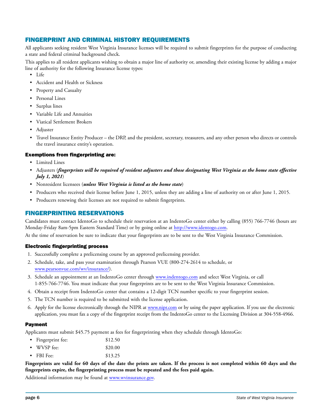#### FINGERPRINT AND CRIMINAL HISTORY REQUIREMENTS

All applicants seeking resident West Virginia Insurance licenses will be required to submit fingerprints for the purpose of conducting a state and federal criminal background check.

This applies to all resident applicants wishing to obtain a major line of authority or, amending their existing license by adding a major line of authority for the following Insurance license types:

- Life
- Accident and Health or Sickness
- Property and Casualty
- Personal Lines
- Surplus lines
- Variable Life and Annuities
- Viatical Settlement Brokers
- Adjuster
- Travel Insurance Entity Producer the DRP, and the president, secretary, treasurers, and any other person who directs or controls the travel insurance entity's operation.

#### Exemptions from fingerprinting are:

- Limited Lines
- Adjusters (*fingerprints will be required of resident adjusters and those designating West Virginia as the home state effective July 1, 2021*)
- Nonresident licensees (*unless West Virginia is listed as the home state*)
- Producers who received their license before June 1, 2015, unless they are adding a line of authority on or after June 1, 2015.
- Producers renewing their licenses are not required to submit fingerprints.

#### FINGERPRINTING RESERVATIONS

Candidates must contact IdentoGo to schedule their reservation at an IndentoGo center either by calling (855) 766-7746 (hours are Monday-Friday 8am-5pm Eastern Standard Time) or by going online at http://www.identogo.com.

At the time of reservation be sure to indicate that your fingerprints are to be sent to the West Virginia Insurance Commission.

#### Electronic fingerprinting process

- 1. Successfully complete a prelicensing course by an approved prelicensing provider.
- 2. Schedule, take, and pass your examination through Pearson VUE (800-274-2614 to schedule, or www.pearsonvue.com/wv/insurance/).
- 3. Schedule an appointment at an IndentoGo center through www.indentogo.com and select West Virginia, or call 1-855-766-7746. You must indicate that your fingerprints are to be sent to the West Virginia Insurance Commission.
- 4. Obtain a receipt from IndentoGo center that contains a 12-digit TCN number specific to your fingerprint session.
- 5. The TCN number is required to be submitted with the license application.
- 6. Apply for the license electronically through the NIPR at www.nipr.com or by using the paper application. If you use the electronic application, you must fax a copy of the fingerprint receipt from the IndentoGo center to the Licensing Division at 304-558-4966.

#### Payment

Applicants must submit \$45.75 payment as fees for fingerprinting when they schedule through IdentoGo:

- Fingerprint fee: \$12.50
- WVSP fee: \$20.00
- FBI Fee: \$13.25

**Fingerprints are valid for 60 days of the date the prints are taken. If the process is not completed within 60 days and the fingerprints expire, the fingerprinting process must be repeated and the fees paid again.**

Additional information may be found at www.wvinsurance.gov.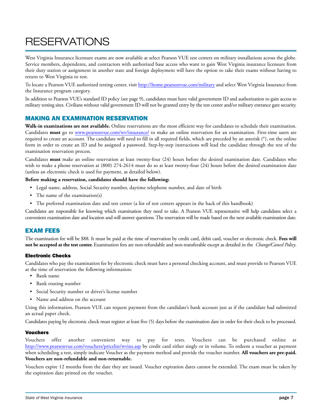### **RESERVATIONS**

West Virginia Insurance licensure exams are now available at select Pearson VUE test centers on military installations across the globe. Service members, dependents, and contractors with authorized base access who want to gain West Virginia insurance licensure from their duty station or assignment in another state and foreign deployment will have the option to take their exams without having to return to West Virginia to test.

To locate a Pearson VUE authorized testing center, visit http://home.pearsonvue.com/military and select West Virginia Insurance from the Insurance program category.

In addition to Pearson VUE's standard ID policy (see page 9), candidates must have valid government ID and authorization to gain access to military testing sites. Civilians without valid government ID will not be granted entry by the test center and/or military entrance gate security.

#### MAKING AN EXAMINATION RESERVATION

**Walk-in examinations are not available.** Online reservations are the most efficient way for candidates to schedule their examination. Candidates **must** go to www.pearsonvue.com/wv/insurance/ to make an online reservation for an examination. First-time users are required to create an account. The candidate will need to fill in all required fields, which are preceded by an asterisk (\*), on the online form in order to create an ID and be assigned a password. Step-by-step instructions will lead the candidate through the rest of the examination reservation process.

Candidates **must** make an online reservation at least twenty-four (24) hours before the desired examination date. Candidates who wish to make a phone reservation at (800) 274-2614 must do so at least twenty-four (24) hours before the desired examination date (unless an electronic check is used for payment, as detailed below).

#### **Before making a reservation, candidates should have the following:**

- Legal name, address, Social Security number, daytime telephone number, and date of birth
- The name of the examination(s)
- The preferred examination date and test center (a list of test centers appears in the back of this handbook)

Candidates are responsible for knowing which examination they need to take. A Pearson VUE representative will help candidates select a convenient examination date and location and will answer questions. The reservation will be made based on the next available examination date.

#### EXAM FEES

The examination fee will be \$88. It must be paid at the time of reservation by credit card, debit card, voucher or electronic check. **Fees will not be accepted at the test center.** Examination fees are non-refundable and non-transferable except as detailed in the *Change/Cancel Policy*.

#### Electronic Checks

Candidates who pay the examination fee by electronic check must have a personal checking account, and must provide to Pearson VUE at the time of reservation the following information:

- Bank name
- Bank routing number
- Social Security number or driver's license number
- Name and address on the account

Using this information, Pearson VUE can request payment from the candidate's bank account just as if the candidate had submitted an actual paper check.

Candidates paying by electronic check must register at least five (5) days before the examination date in order for their check to be processed.

#### Vouchers

Vouchers offer another convenient way to pay for tests. Vouchers can be purchased online at http://www.pearsonvue.com/vouchers/pricelist/wvins.asp by credit card either singly or in volume. To redeem a voucher as payment when scheduling a test, simply indicate Voucher as the payment method and provide the voucher number. **All vouchers are pre-paid. Vouchers are non-refundable and non-returnable.**

Vouchers expire 12 months from the date they are issued. Voucher expiration dates cannot be extended. The exam must be taken by the expiration date printed on the voucher.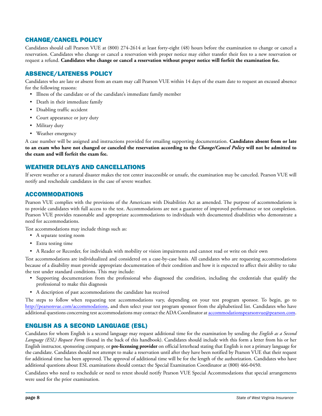#### CHANGE/CANCEL POLICY

Candidates should call Pearson VUE at (800) 274-2614 at least forty-eight (48) hours before the examination to change or cancel a reservation. Candidates who change or cancel a reservation with proper notice may either transfer their fees to a new reservation or request a refund. **Candidates who change or cancel a reservation without proper notice will forfeit the examination fee.**

#### ABSENCE/LATENESS POLICY

Candidates who are late or absent from an exam may call Pearson VUE within 14 days of the exam date to request an excused absence for the following reasons:

- Illness of the candidate or of the candidate's immediate family member
- Death in their immediate family
- Disabling traffic accident
- Court appearance or jury duty
- Military duty
- Weather emergency

A case number will be assigned and instructions provided for emailing supporting documentation. **Candidates absent from or late to an exam who have not changed or canceled the reservation according to the** *Change/Cancel Policy* **will not be admitted to the exam and will forfeit the exam fee.**

#### WEATHER DELAYS AND CANCELLATIONS

If severe weather or a natural disaster makes the test center inaccessible or unsafe, the examination may be canceled. Pearson VUE will notify and reschedule candidates in the case of severe weather.

#### ACCOMMODATIONS

Pearson VUE complies with the provisions of the Americans with Disabilities Act as amended. The purpose of accommodations is to provide candidates with full access to the test. Accommodations are not a guarantee of improved performance or test completion. Pearson VUE provides reasonable and appropriate accommodations to individuals with documented disabilities who demonstrate a need for accommodations.

Test accommodations may include things such as:

- A separate testing room
- Extra testing time
- A Reader or Recorder, for individuals with mobility or vision impairments and cannot read or write on their own

Test accommodations are individualized and considered on a case-by-case basis. All candidates who are requesting accommodations because of a disability must provide appropriate documentation of their condition and how it is expected to affect their ability to take the test under standard conditions. This may include:

- Supporting documentation from the professional who diagnosed the condition, including the credentials that qualify the professional to make this diagnosis
- A description of past accommodations the candidate has received

The steps to follow when requesting test accommodations vary, depending on your test program sponsor. To begin, go to http://pearsonvue.com/accommodations, and then select your test program sponsor from the alphabetized list. Candidates who have additional questions concerning test accommodations may contact the ADA Coordinator at accommodationspearsonvue@pearson.com.

#### ENGLISH AS A SECOND LANGUAGE (ESL)

Candidates for whom English is a second language may request additional time for the examination by sending the *English as a Second Language (ESL) Request Form* (found in the back of this handbook). Candidates should include with this form a letter from his or her English instructor, sponsoring company, or **pre-licensing provider** on official letterhead stating that English is not a primary language for the candidate. Candidates should not attempt to make a reservation until after they have been notified by Pearson VUE that their request for additional time has been approved. The approval of additional time will be for the length of the authorization. Candidates who have additional questions about ESL examinations should contact the Special Examination Coordinator at (800) 466-0450.

Candidates who need to reschedule or need to retest should notify Pearson VUE Special Accommodations that special arrangements were used for the prior examination.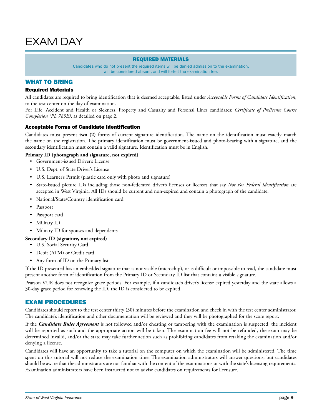#### REQUIRED MATERIALS

Candidates who do not present the required items will be denied admission to the examination, will be considered absent, and will forfeit the examination fee.

#### WHAT TO BRING

#### Required Materials

All candidates are required to bring identification that is deemed acceptable, listed under *Acceptable Forms of Candidate Identification*, to the test center on the day of examination.

For Life, Accident and Health or Sickness, Property and Casualty and Personal Lines candidates: *Certificate of Prelicense Course Completion (PL 789E)*, as detailed on page 2.

#### Acceptable Forms of Candidate Identification

Candidates must present **two (2)** forms of current signature identification. The name on the identification must exactly match the name on the registration. The primary identification must be government-issued and photo-bearing with a signature, and the secondary identification must contain a valid signature. Identification must be in English.

#### **Primary ID (photograph and signature, not expired)**

- Government-issued Driver's License
- U.S. Dept. of State Driver's License
- U.S. Learner's Permit (plastic card only with photo and signature)
- State-issued picture IDs including those non-federated driver's licenses or licenses that say *Not For Federal Identification* are accepted in West Virginia. All IDs should be current and non-expired and contain a photograph of the candidate.
- National/State/Country identification card
- Passport
- Passport card
- Military ID
- Military ID for spouses and dependents

#### **Secondary ID (signature, not expired)**

- U.S. Social Security Card
- Debit (ATM) or Credit card
- Any form of ID on the Primary list

If the ID presented has an embedded signature that is not visible (microchip), or is difficult or impossible to read, the candidate must present another form of identification from the Primary ID or Secondary ID list that contains a visible signature.

Pearson VUE does not recognize grace periods. For example, if a candidate's driver's license expired yesterday and the state allows a 30-day grace period for renewing the ID, the ID is considered to be expired.

#### EXAM PROCEDURES

Candidates should report to the test center thirty (30) minutes before the examination and check in with the test center administrator. The candidate's identification and other documentation will be reviewed and they will be photographed for the score report.

If the *Candidate Rules Agreement* is not followed and/or cheating or tampering with the examination is suspected, the incident will be reported as such and the appropriate action will be taken. The examination fee will not be refunded, the exam may be determined invalid, and/or the state may take further action such as prohibiting candidates from retaking the examination and/or denying a license.

Candidates will have an opportunity to take a tutorial on the computer on which the examination will be administered. The time spent on this tutorial will not reduce the examination time. The examination administrators will answer questions, but candidates should be aware that the administrators are not familiar with the content of the examinations or with the state's licensing requirements. Examination administrators have been instructed not to advise candidates on requirements for licensure.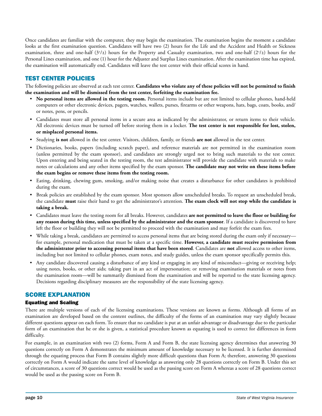Once candidates are familiar with the computer, they may begin the examination. The examination begins the moment a candidate looks at the first examination question. Candidates will have two (2) hours for the Life and the Accident and Health or Sickness examination, three and one-half (31 /2) hours for the Property and Casualty examination, two and one-half (21 /2) hours for the Personal Lines examination, and one (1) hour for the Adjuster and Surplus Lines examination. After the examination time has expired, the examination will automatically end. Candidates will leave the test center with their official scores in hand.

#### TEST CENTER POLICIES

The following policies are observed at each test center. **Candidates who violate any of these policies will not be permitted to finish the examination and will be dismissed from the test center, forfeiting the examination fee.**

- **No personal items are allowed in the testing room.** Personal items include but are not limited to cellular phones, hand-held computers or other electronic devices, pagers, watches, wallets, purses, firearms or other weapons, hats, bags, coats, books, and/ or notes, pens, or pencils.
- Candidates must store all personal items in a secure area as indicated by the administrator, or return items to their vehicle. All electronic devices must be turned off before storing them in a locker. **The test center is not responsible for lost, stolen, or misplaced personal items.**
- Studying **is not** allowed in the test center. Visitors, children, family, or friends **are not** allowed in the test center.
- Dictionaries, books, papers (including scratch paper), and reference materials are not permitted in the examination room (unless permitted by the exam sponsor), and candidates are strongly urged not to bring such materials to the test center. Upon entering and being seated in the testing room, the test administrator will provide the candidate with materials to make notes or calculations and any other items specified by the exam sponsor. **The candidate may not write on these items before the exam begins or remove these items from the testing room.**
- Eating, drinking, chewing gum, smoking, and/or making noise that creates a disturbance for other candidates is prohibited during the exam.
- Break policies are established by the exam sponsor. Most sponsors allow unscheduled breaks. To request an unscheduled break, the candidate **must** raise their hand to get the administrator's attention. **The exam clock will not stop while the candidate is taking a break.**
- Candidates must leave the testing room for all breaks. However, candidates **are not permitted to leave the floor or building for any reason during this time, unless specified by the administrator and the exam sponsor**. If a candidate is discovered to have left the floor or building they will not be permitted to proceed with the examination and may forfeit the exam fees.
- While taking a break, candidates are permitted to access personal items that are being stored during the exam only if necessary for example, personal medication that must be taken at a specific time. **However, a candidate must receive permission from the administrator prior to accessing personal items that have been stored**. Candidates are **not** allowed access to other items, including but not limited to cellular phones, exam notes, and study guides, unless the exam sponsor specifically permits this.
- Any candidate discovered causing a disturbance of any kind or engaging in any kind of misconduct—giving or receiving help; using notes, books, or other aids; taking part in an act of impersonation; or removing examination materials or notes from the examination room—will be summarily dismissed from the examination and will be reported to the state licensing agency. Decisions regarding disciplinary measures are the responsibility of the state licensing agency.

#### SCORE EXPLANATION

#### Equating and Scaling

There are multiple versions of each of the licensing examinations. These versions are known as forms. Although all forms of an examination are developed based on the content outlines, the difficulty of the forms of an examination may vary slightly because different questions appear on each form. To ensure that no candidate is put at an unfair advantage or disadvantage due to the particular form of an examination that he or she is given, a statistical procedure known as equating is used to correct for differences in form difficulty.

For example, in an examination with two (2) forms, Form A and Form B, the state licensing agency determines that answering 30 questions correctly on Form A demonstrates the minimum amount of knowledge necessary to be licensed. It is further determined through the equating process that Form B contains slightly more difficult questions than Form A; therefore, answering 30 questions correctly on Form A would indicate the same level of knowledge as answering only 28 questions correctly on Form B. Under this set of circumstances, a score of 30 questions correct would be used as the passing score on Form A whereas a score of 28 questions correct would be used as the passing score on Form B.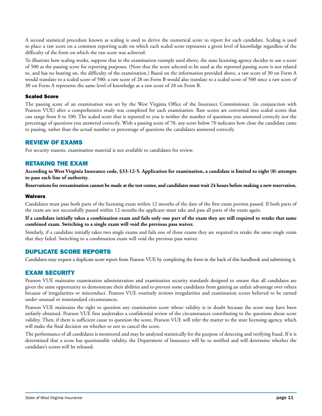A second statistical procedure known as scaling is used to derive the numerical score to report for each candidate. Scaling is used to place a raw score on a common reporting scale on which each scaled score represents a given level of knowledge regardless of the difficulty of the form on which the raw score was achieved.

To illustrate how scaling works, suppose that in the examination example used above, the state licensing agency decides to use a score of 500 as the passing score for reporting purposes. (Note that the score selected to be used as the reported passing score is not related to, and has no bearing on, the difficulty of the examination.) Based on the information provided above, a raw score of 30 on Form A would translate to a scaled score of 500; a raw score of 28 on Form B would also translate to a scaled score of 500 since a raw score of 30 on Form A represents the same level of knowledge as a raw score of 28 on Form B.

#### Scaled Score

The passing score of an examination was set by the West Virginia Office of the Insurance Commissioner. (in conjunction with Pearson VUE) after a comprehensive study was completed for each examination. Raw scores are converted into scaled scores that can range from 0 to 100. The scaled score that is reported to you is neither the number of questions you answered correctly nor the percentage of questions you answered correctly. With a passing score of 70, any score below 70 indicates how close the candidate came to passing, rather than the actual number or percentage of questions the candidates answered correctly.

#### REVIEW OF EXAMS

For security reasons, examination material is not available to candidates for review.

#### RETAKING THE EXAM

**According to West Virginia Insurance code, §33-12-5. Application for examination, a candidate is limited to eight (8) attempts to pass each line of authority.**

**Reservations for reexamination cannot be made at the test center, and candidates must wait 24 hours before making a new reservation.**

#### **Waivers**

Candidates must pass both parts of the licensing exam within 12 months of the date of the first exam portion passed. If both parts of the exam are not successfully passed within 12 months the applicant must take and pass all parts of the exam again.

**If a candidate initially takes a combination exam and fails only one part of the exam they are still required to retake that same combined exam. Switching to a single exam will void the previous pass waiver.**

Similarly, if a candidate initially takes two single exams and fails one of those exams they are required to retake the same single exam that they failed. Switching to a combination exam will void the previous pass waiver.

#### DUPLICATE SCORE REPORTS

Candidates may request a duplicate score report from Pearson VUE by completing the form in the back of this handbook and submitting it.

#### EXAM SECURITY

Pearson VUE maintains examination administration and examination security standards designed to ensure that all candidates are given the same opportunity to demonstrate their abilities and to prevent some candidates from gaining an unfair advantage over others because of irregularities or misconduct. Pearson VUE routinely reviews irregularities and examination scores believed to be earned under unusual or nonstandard circumstances.

Pearson VUE maintains the right to question any examination score whose validity is in doubt because the score may have been unfairly obtained. Pearson VUE first undertakes a confidential review of the circumstances contributing to the questions about score validity. Then, if there is sufficient cause to question the score, Pearson VUE will refer the matter to the state licensing agency, which will make the final decision on whether or not to cancel the score.

The performance of all candidates is monitored and may be analyzed statistically for the purpose of detecting and verifying fraud. If it is determined that a score has questionable validity, the Department of Insurance will be so notified and will determine whether the candidate's scores will be released.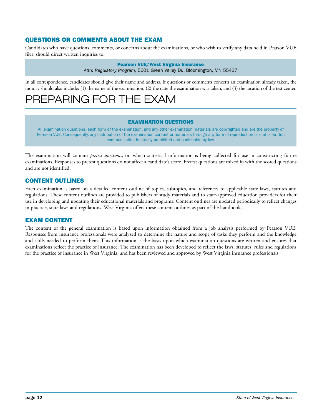#### QUESTIONS OR COMMENTS ABOUT THE EXAM

Candidates who have questions, comments, or concerns about the examinations, or who wish to verify any data held in Pearson VUE files, should direct written inquiries to:

> Pearson VUE/West Virginia Insurance *Attn: Regulatory Program*, 5601 Green Valley Dr., Bloomington, MN 55437

In all correspondence, candidates should give their name and address. If questions or comments concern an examination already taken, the inquiry should also include: (1) the name of the examination, (2) the date the examination was taken, and (3) the location of the test center.

### PREPARING FOR THE EXAM

#### EXAMINATION QUESTIONS

All examination questions, each form of the examination, and any other examination materials are copyrighted and are the property of Pearson VUE. Consequently, any distribution of the examination content or materials through any form of reproduction or oral or written communication is strictly prohibited and punishable by law.

The examination will contain *pretest questions*, on which statistical information is being collected for use in constructing future examinations. Responses to pretest questions do not affect a candidate's score. Pretest questions are mixed in with the scored questions and are not identified.

#### CONTENT OUTLINES

Each examination is based on a detailed content outline of topics, subtopics, and references to applicable state laws, statutes and regulations. These content outlines are provided to publishers of study materials and to state-approved education providers for their use in developing and updating their educational materials and programs. Content outlines are updated periodically to reflect changes in practice, state laws and regulations. West Virginia offers these content outlines as part of the handbook.

#### EXAM CONTENT

The content of the general examination is based upon information obtained from a job analysis performed by Pearson VUE. Responses from insurance professionals were analyzed to determine the nature and scope of tasks they perform and the knowledge and skills needed to perform them. This information is the basis upon which examination questions are written and ensures that examinations reflect the practice of insurance. The examination has been developed to reflect the laws, statutes, rules and regulations for the practice of insurance in West Virginia, and has been reviewed and approved by West Virginia insurance professionals.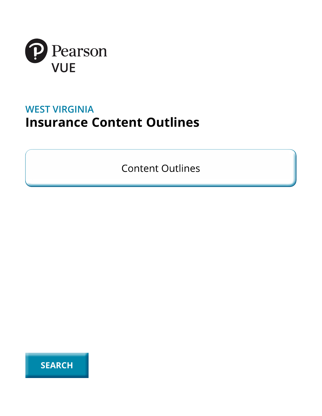

### **WEST VIRGINIA Insurance Content Outlines**

**Content Outlines** 

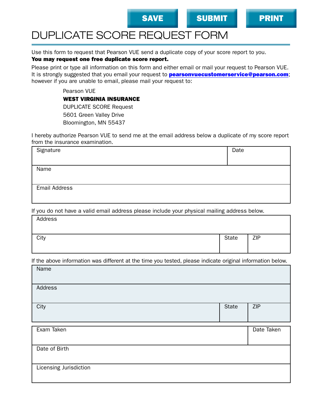

### DUPLICATE SCORE REQUEST FORM

Use this form to request that Pearson VUE send a duplicate copy of your score report to you.

#### You may request one free duplicate score report.

Please print or type all information on this form and either email or mail your request to Pearson VUE. It is strongly suggested that you email your request to **pearsonvuecustomerservice@pearson.com**; however if you are unable to email, please mail your request to:

Pearson VUE

WEST VIRGINIA INSURANCE

DUPLICATE SCORE Request 5601 Green Valley Drive Bloomington, MN 55437

I hereby authorize Pearson VUE to send me at the email address below a duplicate of my score report from the insurance examination.

| Signature            | Date |
|----------------------|------|
|                      |      |
| Name                 |      |
|                      |      |
|                      |      |
| <b>Email Address</b> |      |
|                      |      |
|                      |      |

If you do not have a valid email address please include your physical mailing address below.

| Address |              |            |
|---------|--------------|------------|
| City    | <b>State</b> | <b>ZIP</b> |
|         |              |            |

If the above information was different at the time you tested, please indicate original information below.

|                        | $\sim$ |            |
|------------------------|--------|------------|
| Name                   |        |            |
| Address                |        |            |
| City                   | State  | <b>ZIP</b> |
|                        |        |            |
| Exam Taken             |        | Date Taken |
| Date of Birth          |        |            |
| Licensing Jurisdiction |        |            |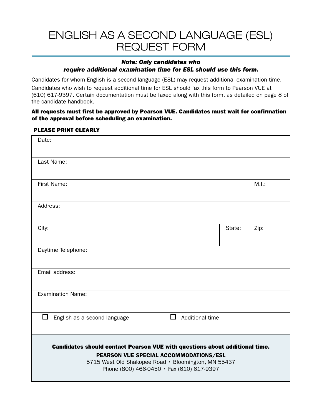### ENGLISH AS A SECOND LANGUAGE (ESL) REQUEST FORM

#### *Note: Only candidates who*

#### *require additional examination time for ESL should use this form.*

Candidates for whom English is a second language (ESL) may request additional examination time. Candidates who wish to request additional time for ESL should fax this form to Pearson VUE at (610) 617-9397. Certain documentation must be faxed along with this form, as detailed on page 8 of the candidate handbook.

#### All requests must first be approved by Pearson VUE. Candidates must wait for confirmation of the approval before scheduling an examination.

#### PLEASE PRINT CLEARLY

| Date:                                                                                                                                                                                                                           |                      |        |       |
|---------------------------------------------------------------------------------------------------------------------------------------------------------------------------------------------------------------------------------|----------------------|--------|-------|
| Last Name:                                                                                                                                                                                                                      |                      |        |       |
| First Name:                                                                                                                                                                                                                     |                      |        | M.I.: |
| Address:                                                                                                                                                                                                                        |                      |        |       |
| City:                                                                                                                                                                                                                           |                      | State: | Zip:  |
| Daytime Telephone:                                                                                                                                                                                                              |                      |        |       |
| Email address:                                                                                                                                                                                                                  |                      |        |       |
| <b>Examination Name:</b>                                                                                                                                                                                                        |                      |        |       |
| $\Box$<br>English as a second language                                                                                                                                                                                          | □<br>Additional time |        |       |
| Candidates should contact Pearson VUE with questions about additional time.<br>PEARSON VUE SPECIAL ACCOMMODATIONS/ESL<br>5715 West Old Shakopee Road · Bloomington, MN 55437<br>Phone (800) 466-0450 $\cdot$ Fax (610) 617-9397 |                      |        |       |